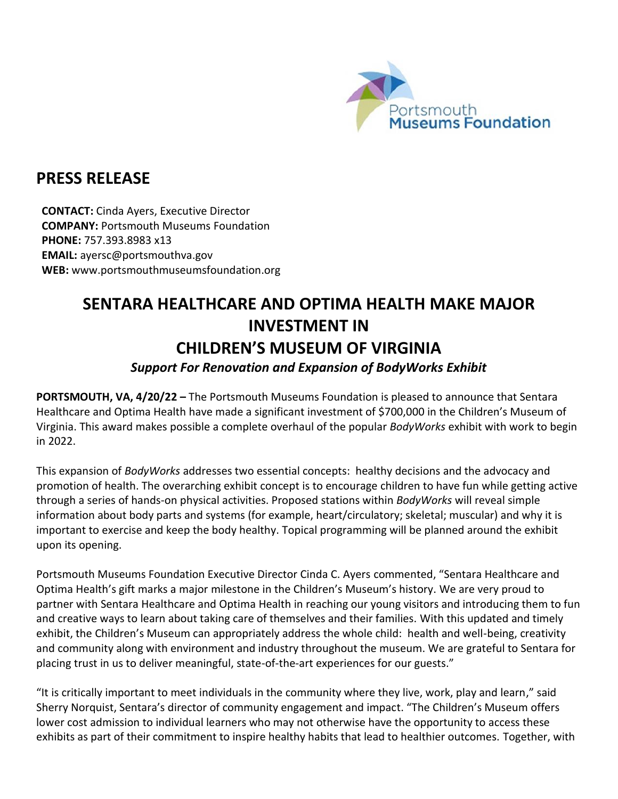

## **PRESS RELEASE**

**CONTACT:** Cinda Ayers, Executive Director **COMPANY:** Portsmouth Museums Foundation **PHONE:** 757.393.8983 x13 **EMAIL:** ayersc@portsmouthva.gov **WEB:** www.portsmouthmuseumsfoundation.org

## **SENTARA HEALTHCARE AND OPTIMA HEALTH MAKE MAJOR INVESTMENT IN CHILDREN'S MUSEUM OF VIRGINIA**

## *Support For Renovation and Expansion of BodyWorks Exhibit*

**PORTSMOUTH, VA, 4/20/22 –** The Portsmouth Museums Foundation is pleased to announce that Sentara Healthcare and Optima Health have made a significant investment of \$700,000 in the Children's Museum of Virginia. This award makes possible a complete overhaul of the popular *BodyWorks* exhibit with work to begin in 2022.

This expansion of *BodyWorks* addresses two essential concepts: healthy decisions and the advocacy and promotion of health. The overarching exhibit concept is to encourage children to have fun while getting active through a series of hands-on physical activities. Proposed stations within *BodyWorks* will reveal simple information about body parts and systems (for example, heart/circulatory; skeletal; muscular) and why it is important to exercise and keep the body healthy. Topical programming will be planned around the exhibit upon its opening.

Portsmouth Museums Foundation Executive Director Cinda C. Ayers commented, "Sentara Healthcare and Optima Health's gift marks a major milestone in the Children's Museum's history. We are very proud to partner with Sentara Healthcare and Optima Health in reaching our young visitors and introducing them to fun and creative ways to learn about taking care of themselves and their families. With this updated and timely exhibit, the Children's Museum can appropriately address the whole child: health and well-being, creativity and community along with environment and industry throughout the museum. We are grateful to Sentara for placing trust in us to deliver meaningful, state-of-the-art experiences for our guests."

"It is critically important to meet individuals in the community where they live, work, play and learn," said Sherry Norquist, Sentara's director of community engagement and impact. "The Children's Museum offers lower cost admission to individual learners who may not otherwise have the opportunity to access these exhibits as part of their commitment to inspire healthy habits that lead to healthier outcomes. Together, with